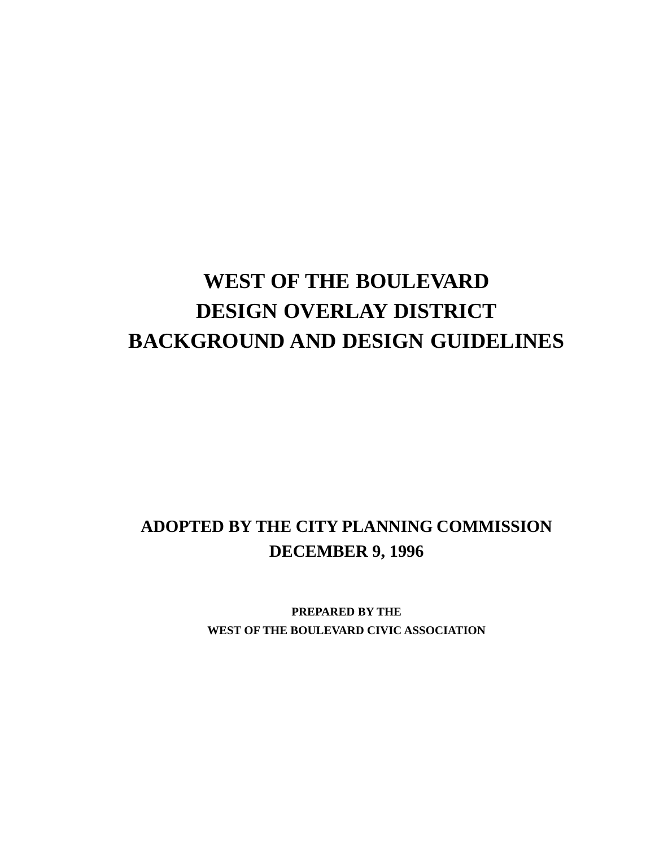# **WEST OF THE BOULEVARD DESIGN OVERLAY DISTRICT BACKGROUND AND DESIGN GUIDELINES**

# **ADOPTED BY THE CITY PLANNING COMMISSION DECEMBER 9, 1996**

**PREPARED BY THE WEST OF THE BOULEVARD CIVIC ASSOCIATION**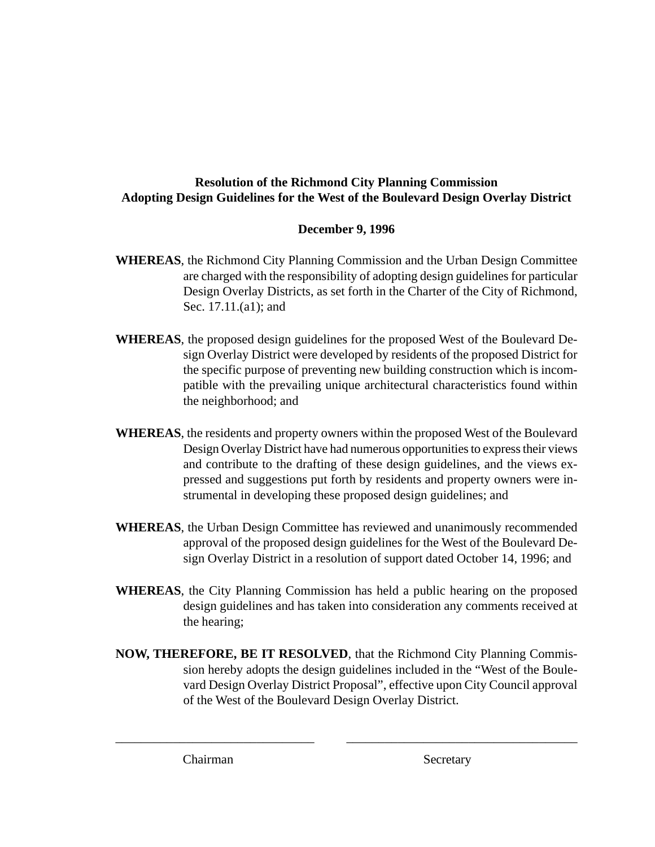#### **Resolution of the Richmond City Planning Commission Adopting Design Guidelines for the West of the Boulevard Design Overlay District**

#### **December 9, 1996**

- **WHEREAS**, the Richmond City Planning Commission and the Urban Design Committee are charged with the responsibility of adopting design guidelines for particular Design Overlay Districts, as set forth in the Charter of the City of Richmond, Sec. 17.11.(a1); and
- **WHEREAS**, the proposed design guidelines for the proposed West of the Boulevard Design Overlay District were developed by residents of the proposed District for the specific purpose of preventing new building construction which is incompatible with the prevailing unique architectural characteristics found within the neighborhood; and
- **WHEREAS**, the residents and property owners within the proposed West of the Boulevard Design Overlay District have had numerous opportunities to express their views and contribute to the drafting of these design guidelines, and the views expressed and suggestions put forth by residents and property owners were instrumental in developing these proposed design guidelines; and
- **WHEREAS**, the Urban Design Committee has reviewed and unanimously recommended approval of the proposed design guidelines for the West of the Boulevard Design Overlay District in a resolution of support dated October 14, 1996; and
- **WHEREAS**, the City Planning Commission has held a public hearing on the proposed design guidelines and has taken into consideration any comments received at the hearing;
- **NOW, THEREFORE, BE IT RESOLVED**, that the Richmond City Planning Commission hereby adopts the design guidelines included in the "West of the Boulevard Design Overlay District Proposal", effective upon City Council approval of the West of the Boulevard Design Overlay District.

\_\_\_\_\_\_\_\_\_\_\_\_\_\_\_\_\_\_\_\_\_\_\_\_\_\_\_\_\_\_\_ \_\_\_\_\_\_\_\_\_\_\_\_\_\_\_\_\_\_\_\_\_\_\_\_\_\_\_\_\_\_\_\_\_\_\_\_

Chairman Secretary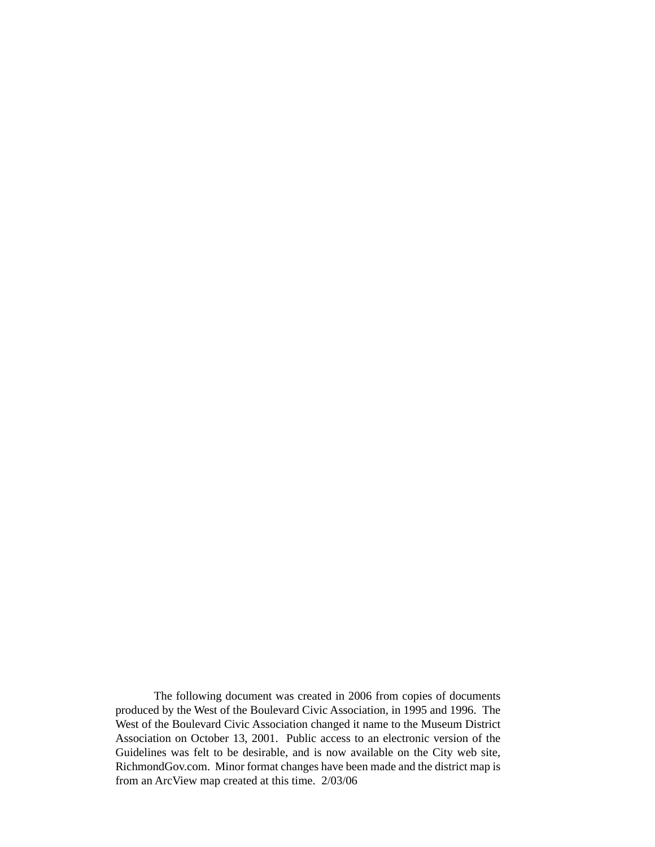The following document was created in 2006 from copies of documents produced by the West of the Boulevard Civic Association, in 1995 and 1996. The West of the Boulevard Civic Association changed it name to the Museum District Association on October 13, 2001. Public access to an electronic version of the Guidelines was felt to be desirable, and is now available on the City web site, RichmondGov.com. Minor format changes have been made and the district map is from an ArcView map created at this time. 2/03/06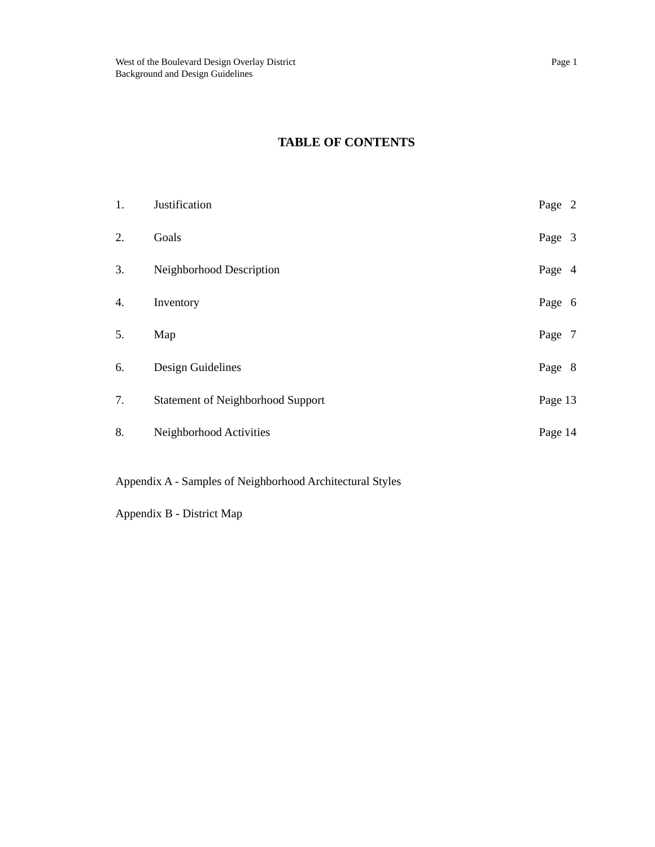| 1. | Justification                            | Page 2  |  |
|----|------------------------------------------|---------|--|
| 2. | Goals                                    | Page 3  |  |
| 3. | Neighborhood Description                 | Page 4  |  |
| 4. | Inventory                                | Page 6  |  |
| 5. | Map                                      | Page 7  |  |
| 6. | Design Guidelines                        | Page 8  |  |
| 7. | <b>Statement of Neighborhood Support</b> | Page 13 |  |
| 8. | Neighborhood Activities                  | Page 14 |  |
|    |                                          |         |  |

Appendix A - Samples of Neighborhood Architectural Styles

Appendix B - District Map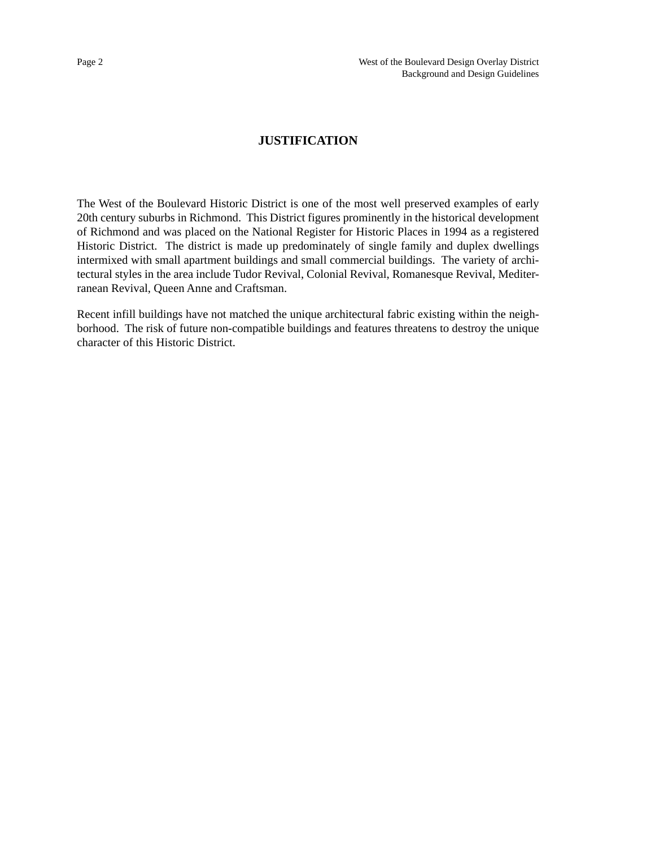#### **JUSTIFICATION**

The West of the Boulevard Historic District is one of the most well preserved examples of early 20th century suburbs in Richmond. This District figures prominently in the historical development of Richmond and was placed on the National Register for Historic Places in 1994 as a registered Historic District. The district is made up predominately of single family and duplex dwellings intermixed with small apartment buildings and small commercial buildings. The variety of architectural styles in the area include Tudor Revival, Colonial Revival, Romanesque Revival, Mediterranean Revival, Queen Anne and Craftsman.

Recent infill buildings have not matched the unique architectural fabric existing within the neighborhood. The risk of future non-compatible buildings and features threatens to destroy the unique character of this Historic District.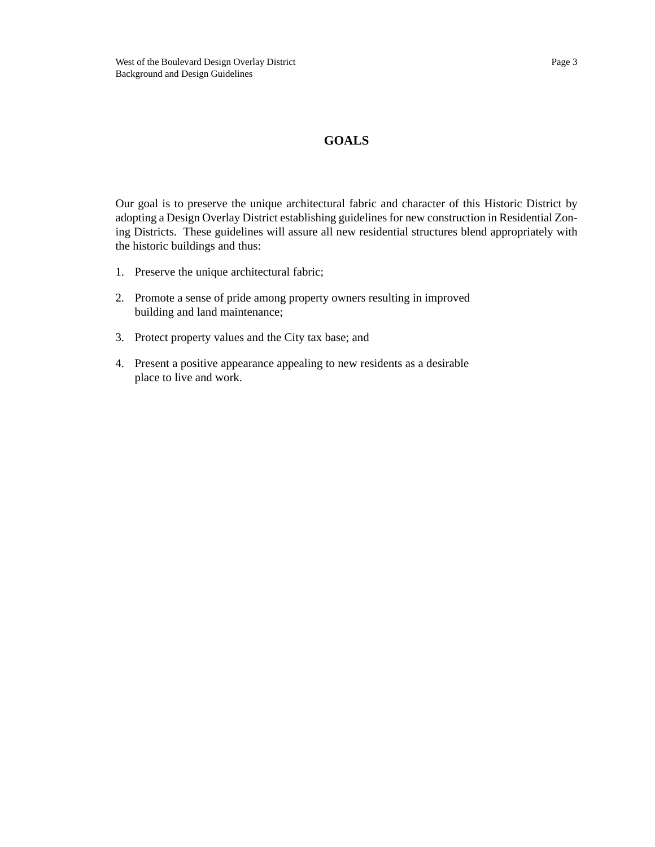#### **GOALS**

Our goal is to preserve the unique architectural fabric and character of this Historic District by adopting a Design Overlay District establishing guidelines for new construction in Residential Zoning Districts. These guidelines will assure all new residential structures blend appropriately with the historic buildings and thus:

- 1. Preserve the unique architectural fabric;
- 2. Promote a sense of pride among property owners resulting in improved building and land maintenance;
- 3. Protect property values and the City tax base; and
- 4. Present a positive appearance appealing to new residents as a desirable place to live and work.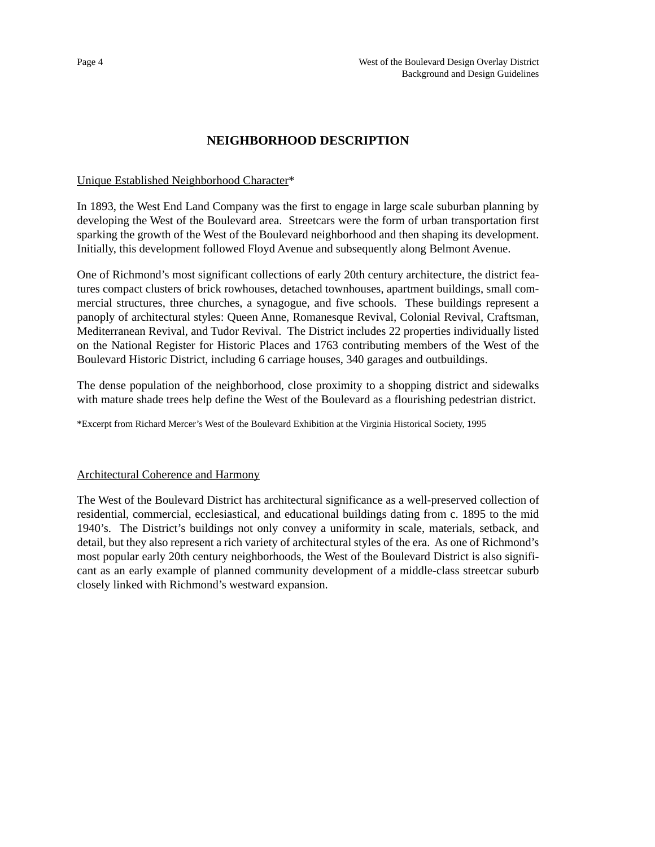#### **NEIGHBORHOOD DESCRIPTION**

#### Unique Established Neighborhood Character\*

In 1893, the West End Land Company was the first to engage in large scale suburban planning by developing the West of the Boulevard area. Streetcars were the form of urban transportation first sparking the growth of the West of the Boulevard neighborhood and then shaping its development. Initially, this development followed Floyd Avenue and subsequently along Belmont Avenue.

One of Richmond's most significant collections of early 20th century architecture, the district features compact clusters of brick rowhouses, detached townhouses, apartment buildings, small commercial structures, three churches, a synagogue, and five schools. These buildings represent a panoply of architectural styles: Queen Anne, Romanesque Revival, Colonial Revival, Craftsman, Mediterranean Revival, and Tudor Revival. The District includes 22 properties individually listed on the National Register for Historic Places and 1763 contributing members of the West of the Boulevard Historic District, including 6 carriage houses, 340 garages and outbuildings.

The dense population of the neighborhood, close proximity to a shopping district and sidewalks with mature shade trees help define the West of the Boulevard as a flourishing pedestrian district.

\*Excerpt from Richard Mercer's West of the Boulevard Exhibition at the Virginia Historical Society, 1995

#### Architectural Coherence and Harmony

The West of the Boulevard District has architectural significance as a well-preserved collection of residential, commercial, ecclesiastical, and educational buildings dating from c. 1895 to the mid 1940's. The District's buildings not only convey a uniformity in scale, materials, setback, and detail, but they also represent a rich variety of architectural styles of the era. As one of Richmond's most popular early 20th century neighborhoods, the West of the Boulevard District is also significant as an early example of planned community development of a middle-class streetcar suburb closely linked with Richmond's westward expansion.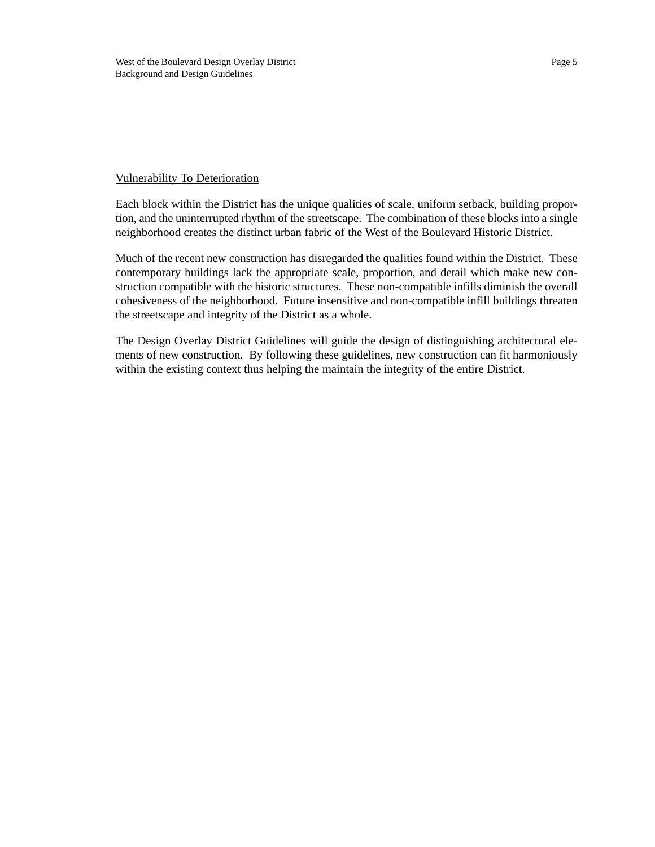#### Vulnerability To Deterioration

Each block within the District has the unique qualities of scale, uniform setback, building proportion, and the uninterrupted rhythm of the streetscape. The combination of these blocks into a single neighborhood creates the distinct urban fabric of the West of the Boulevard Historic District.

Much of the recent new construction has disregarded the qualities found within the District. These contemporary buildings lack the appropriate scale, proportion, and detail which make new construction compatible with the historic structures. These non-compatible infills diminish the overall cohesiveness of the neighborhood. Future insensitive and non-compatible infill buildings threaten the streetscape and integrity of the District as a whole.

The Design Overlay District Guidelines will guide the design of distinguishing architectural elements of new construction. By following these guidelines, new construction can fit harmoniously within the existing context thus helping the maintain the integrity of the entire District.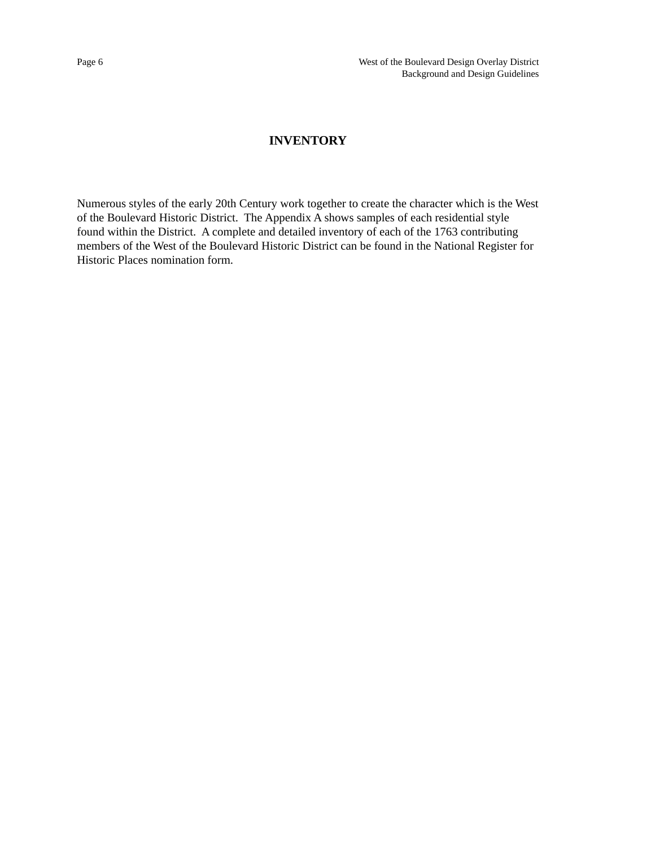#### **INVENTORY**

Numerous styles of the early 20th Century work together to create the character which is the West of the Boulevard Historic District. The Appendix A shows samples of each residential style found within the District. A complete and detailed inventory of each of the 1763 contributing members of the West of the Boulevard Historic District can be found in the National Register for Historic Places nomination form.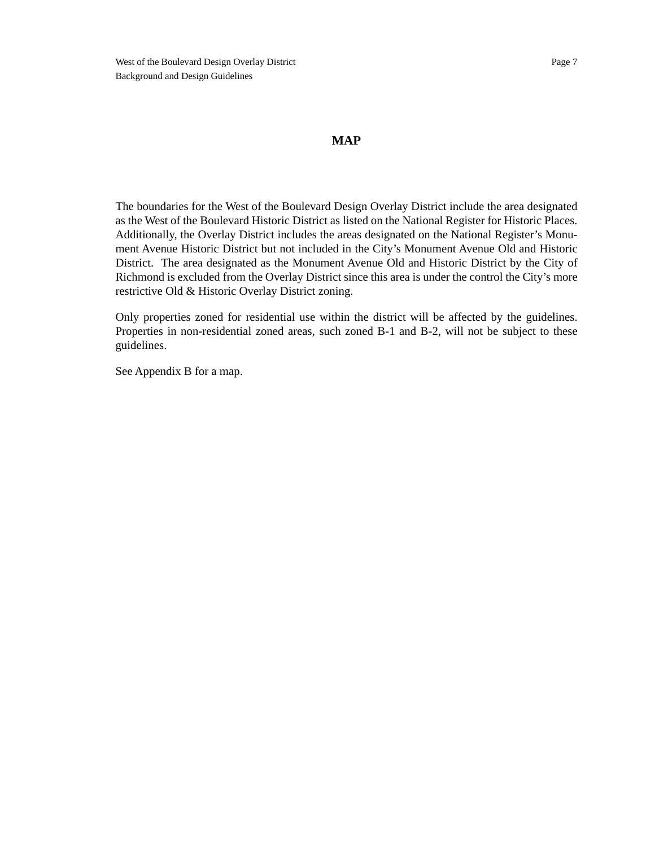#### **MAP**

The boundaries for the West of the Boulevard Design Overlay District include the area designated as the West of the Boulevard Historic District as listed on the National Register for Historic Places. Additionally, the Overlay District includes the areas designated on the National Register's Monument Avenue Historic District but not included in the City's Monument Avenue Old and Historic District. The area designated as the Monument Avenue Old and Historic District by the City of Richmond is excluded from the Overlay District since this area is under the control the City's more restrictive Old & Historic Overlay District zoning.

Only properties zoned for residential use within the district will be affected by the guidelines. Properties in non-residential zoned areas, such zoned B-1 and B-2, will not be subject to these guidelines.

See Appendix B for a map.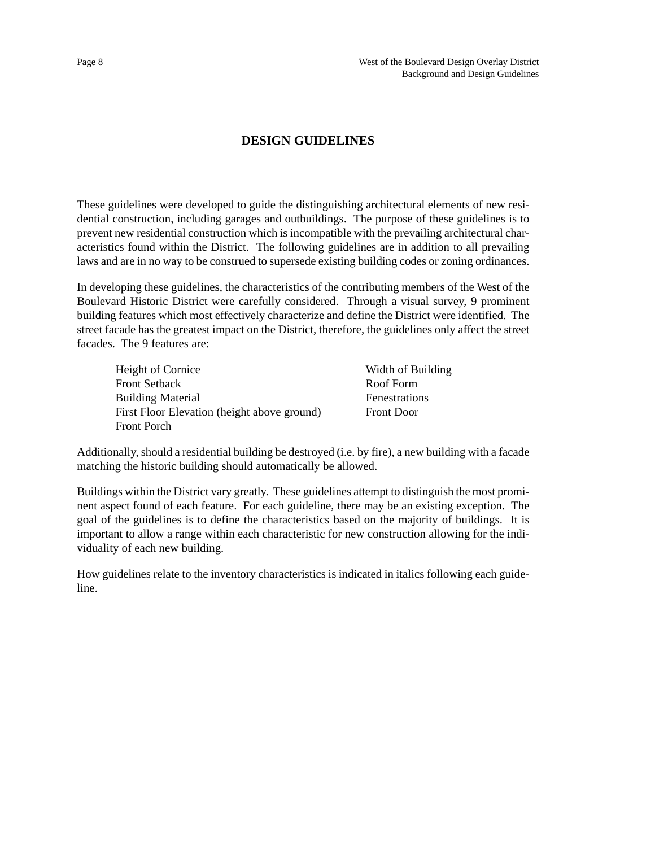#### **DESIGN GUIDELINES**

These guidelines were developed to guide the distinguishing architectural elements of new residential construction, including garages and outbuildings. The purpose of these guidelines is to prevent new residential construction which is incompatible with the prevailing architectural characteristics found within the District. The following guidelines are in addition to all prevailing laws and are in no way to be construed to supersede existing building codes or zoning ordinances.

In developing these guidelines, the characteristics of the contributing members of the West of the Boulevard Historic District were carefully considered. Through a visual survey, 9 prominent building features which most effectively characterize and define the District were identified. The street facade has the greatest impact on the District, therefore, the guidelines only affect the street facades. The 9 features are:

| Height of Cornice                           | Width of Building |  |
|---------------------------------------------|-------------------|--|
| <b>Front Setback</b>                        | Roof Form         |  |
| <b>Building Material</b>                    | Fenestrations     |  |
| First Floor Elevation (height above ground) | <b>Front Door</b> |  |
| <b>Front Porch</b>                          |                   |  |

Additionally, should a residential building be destroyed (i.e. by fire), a new building with a facade matching the historic building should automatically be allowed.

Buildings within the District vary greatly. These guidelines attempt to distinguish the most prominent aspect found of each feature. For each guideline, there may be an existing exception. The goal of the guidelines is to define the characteristics based on the majority of buildings. It is important to allow a range within each characteristic for new construction allowing for the individuality of each new building.

How guidelines relate to the inventory characteristics is indicated in italics following each guideline.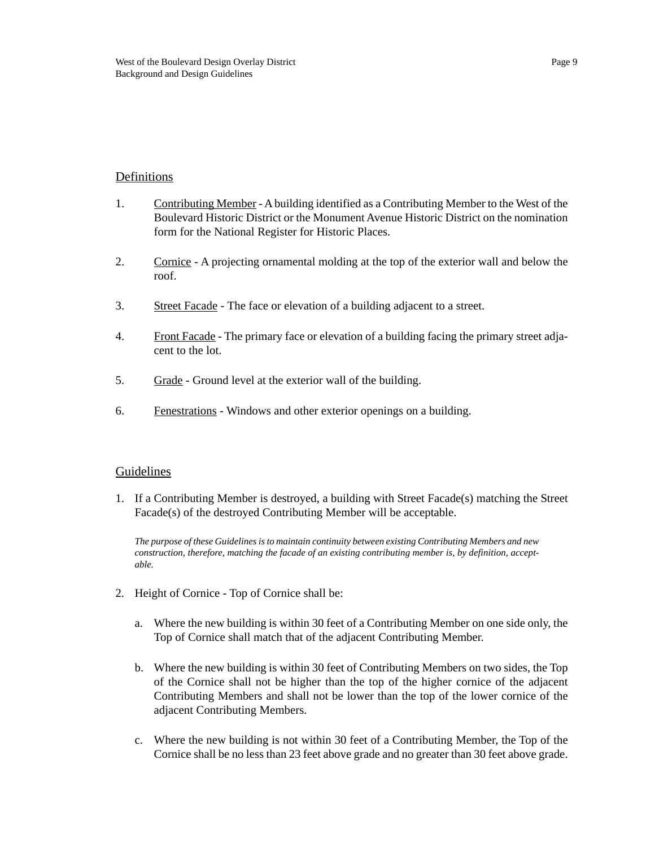#### Definitions

- 1. Contributing Member A building identified as a Contributing Member to the West of the Boulevard Historic District or the Monument Avenue Historic District on the nomination form for the National Register for Historic Places.
- 2. Cornice A projecting ornamental molding at the top of the exterior wall and below the roof.
- 3. Street Facade The face or elevation of a building adjacent to a street.
- 4. Front Facade The primary face or elevation of a building facing the primary street adjacent to the lot.
- 5. Grade Ground level at the exterior wall of the building.
- 6. Fenestrations Windows and other exterior openings on a building.

#### Guidelines

1. If a Contributing Member is destroyed, a building with Street Facade(s) matching the Street Facade(s) of the destroyed Contributing Member will be acceptable.

*The purpose of these Guidelines is to maintain continuity between existing Contributing Members and new construction, therefore, matching the facade of an existing contributing member is, by definition, acceptable.*

- 2. Height of Cornice Top of Cornice shall be:
	- a. Where the new building is within 30 feet of a Contributing Member on one side only, the Top of Cornice shall match that of the adjacent Contributing Member.
	- b. Where the new building is within 30 feet of Contributing Members on two sides, the Top of the Cornice shall not be higher than the top of the higher cornice of the adjacent Contributing Members and shall not be lower than the top of the lower cornice of the adjacent Contributing Members.
	- c. Where the new building is not within 30 feet of a Contributing Member, the Top of the Cornice shall be no less than 23 feet above grade and no greater than 30 feet above grade.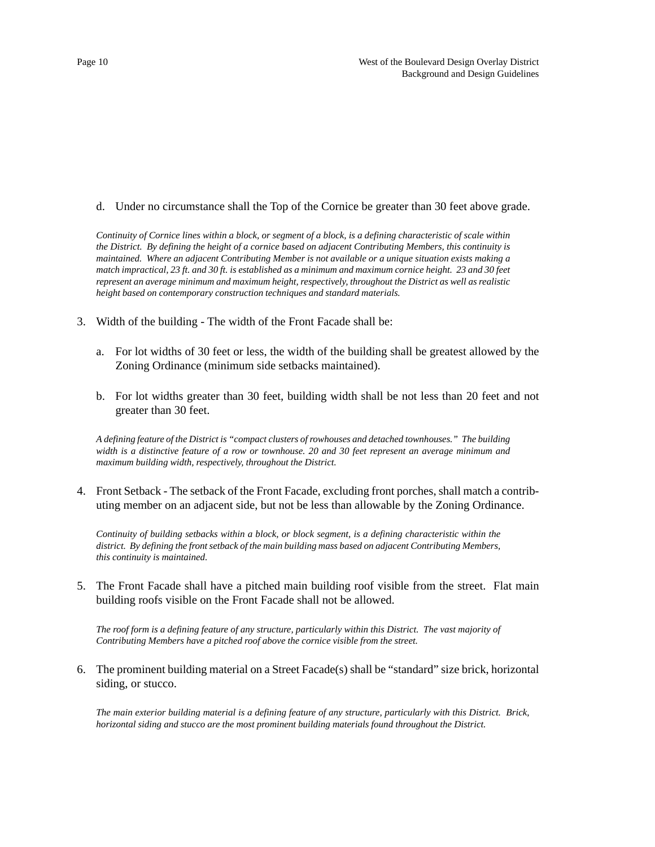d. Under no circumstance shall the Top of the Cornice be greater than 30 feet above grade.

*Continuity of Cornice lines within a block, or segment of a block, is a defining characteristic of scale within the District. By defining the height of a cornice based on adjacent Contributing Members, this continuity is maintained. Where an adjacent Contributing Member is not available or a unique situation exists making a match impractical, 23 ft. and 30 ft. is established as a minimum and maximum cornice height. 23 and 30 feet represent an average minimum and maximum height, respectively, throughout the District as well as realistic height based on contemporary construction techniques and standard materials.*

- 3. Width of the building The width of the Front Facade shall be:
	- a. For lot widths of 30 feet or less, the width of the building shall be greatest allowed by the Zoning Ordinance (minimum side setbacks maintained).
	- b. For lot widths greater than 30 feet, building width shall be not less than 20 feet and not greater than 30 feet.

*A defining feature of the District is "compact clusters of rowhouses and detached townhouses." The building width is a distinctive feature of a row or townhouse. 20 and 30 feet represent an average minimum and maximum building width, respectively, throughout the District.*

4. Front Setback - The setback of the Front Facade, excluding front porches, shall match a contributing member on an adjacent side, but not be less than allowable by the Zoning Ordinance.

*Continuity of building setbacks within a block, or block segment, is a defining characteristic within the district. By defining the front setback of the main building mass based on adjacent Contributing Members, this continuity is maintained.*

5. The Front Facade shall have a pitched main building roof visible from the street. Flat main building roofs visible on the Front Facade shall not be allowed.

*The roof form is a defining feature of any structure, particularly within this District. The vast majority of Contributing Members have a pitched roof above the cornice visible from the street.*

6. The prominent building material on a Street Facade(s) shall be "standard" size brick, horizontal siding, or stucco.

*The main exterior building material is a defining feature of any structure, particularly with this District. Brick, horizontal siding and stucco are the most prominent building materials found throughout the District.*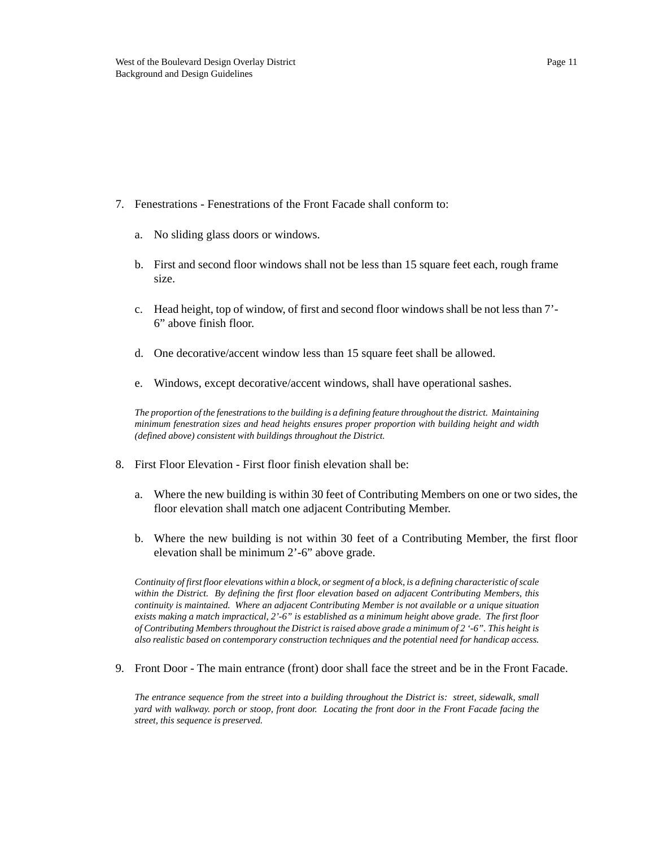#### 7. Fenestrations - Fenestrations of the Front Facade shall conform to:

- a. No sliding glass doors or windows.
- b. First and second floor windows shall not be less than 15 square feet each, rough frame size.
- c. Head height, top of window, of first and second floor windows shall be not less than 7'- 6" above finish floor.
- d. One decorative/accent window less than 15 square feet shall be allowed.
- e. Windows, except decorative/accent windows, shall have operational sashes.

*The proportion of the fenestrations to the building is a defining feature throughout the district. Maintaining minimum fenestration sizes and head heights ensures proper proportion with building height and width (defined above) consistent with buildings throughout the District.*

- 8. First Floor Elevation First floor finish elevation shall be:
	- a. Where the new building is within 30 feet of Contributing Members on one or two sides, the floor elevation shall match one adjacent Contributing Member.
	- b. Where the new building is not within 30 feet of a Contributing Member, the first floor elevation shall be minimum 2'-6" above grade.

*Continuity of first floor elevations within a block, or segment of a block, is a defining characteristic of scale within the District. By defining the first floor elevation based on adjacent Contributing Members, this continuity is maintained. Where an adjacent Contributing Member is not available or a unique situation exists making a match impractical, 2'-6" is established as a minimum height above grade. The first floor of Contributing Members throughout the District is raised above grade a minimum of 2 '-6". This height is also realistic based on contemporary construction techniques and the potential need for handicap access.*

9. Front Door - The main entrance (front) door shall face the street and be in the Front Facade.

*The entrance sequence from the street into a building throughout the District is: street, sidewalk, small yard with walkway. porch or stoop, front door. Locating the front door in the Front Facade facing the street, this sequence is preserved.*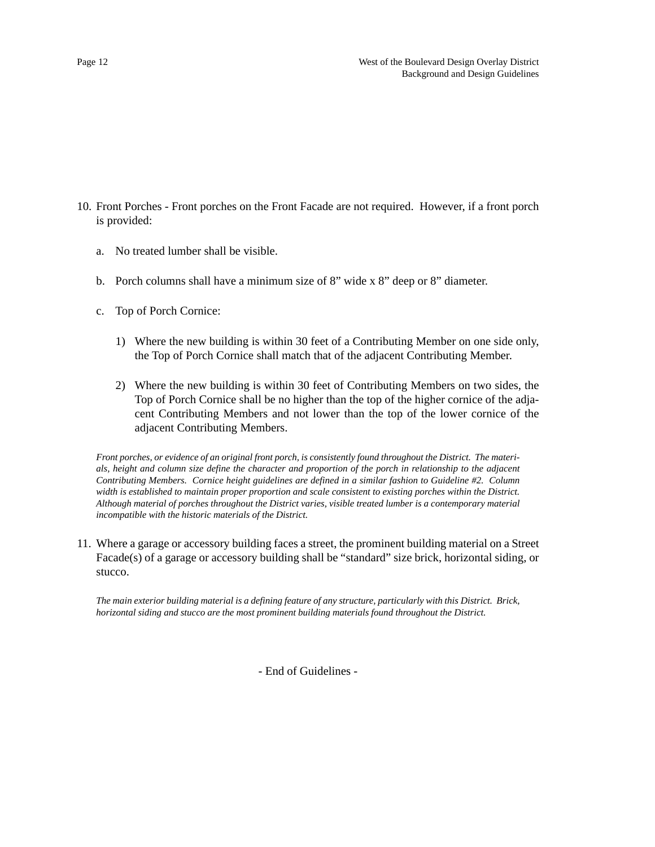- 10. Front Porches Front porches on the Front Facade are not required. However, if a front porch is provided:
	- a. No treated lumber shall be visible.
	- b. Porch columns shall have a minimum size of 8" wide x 8" deep or 8" diameter.
	- c. Top of Porch Cornice:
		- 1) Where the new building is within 30 feet of a Contributing Member on one side only, the Top of Porch Cornice shall match that of the adjacent Contributing Member.
		- 2) Where the new building is within 30 feet of Contributing Members on two sides, the Top of Porch Cornice shall be no higher than the top of the higher cornice of the adjacent Contributing Members and not lower than the top of the lower cornice of the adjacent Contributing Members.

*Front porches, or evidence of an original front porch, is consistently found throughout the District. The materials, height and column size define the character and proportion of the porch in relationship to the adjacent Contributing Members. Cornice height guidelines are defined in a similar fashion to Guideline #2. Column width is established to maintain proper proportion and scale consistent to existing porches within the District. Although material of porches throughout the District varies, visible treated lumber is a contemporary material incompatible with the historic materials of the District.*

11. Where a garage or accessory building faces a street, the prominent building material on a Street Facade(s) of a garage or accessory building shall be "standard" size brick, horizontal siding, or stucco.

*The main exterior building material is a defining feature of any structure, particularly with this District. Brick, horizontal siding and stucco are the most prominent building materials found throughout the District.*

- End of Guidelines -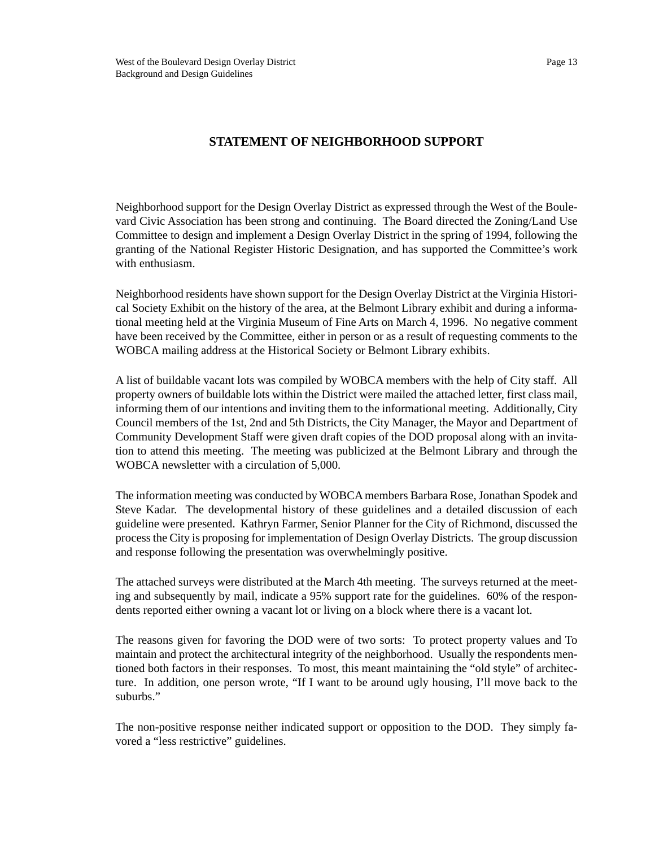#### **STATEMENT OF NEIGHBORHOOD SUPPORT**

Neighborhood support for the Design Overlay District as expressed through the West of the Boulevard Civic Association has been strong and continuing. The Board directed the Zoning/Land Use Committee to design and implement a Design Overlay District in the spring of 1994, following the granting of the National Register Historic Designation, and has supported the Committee's work with enthusiasm.

Neighborhood residents have shown support for the Design Overlay District at the Virginia Historical Society Exhibit on the history of the area, at the Belmont Library exhibit and during a informational meeting held at the Virginia Museum of Fine Arts on March 4, 1996. No negative comment have been received by the Committee, either in person or as a result of requesting comments to the WOBCA mailing address at the Historical Society or Belmont Library exhibits.

A list of buildable vacant lots was compiled by WOBCA members with the help of City staff. All property owners of buildable lots within the District were mailed the attached letter, first class mail, informing them of our intentions and inviting them to the informational meeting. Additionally, City Council members of the 1st, 2nd and 5th Districts, the City Manager, the Mayor and Department of Community Development Staff were given draft copies of the DOD proposal along with an invitation to attend this meeting. The meeting was publicized at the Belmont Library and through the WOBCA newsletter with a circulation of 5,000.

The information meeting was conducted by WOBCA members Barbara Rose, Jonathan Spodek and Steve Kadar. The developmental history of these guidelines and a detailed discussion of each guideline were presented. Kathryn Farmer, Senior Planner for the City of Richmond, discussed the process the City is proposing for implementation of Design Overlay Districts. The group discussion and response following the presentation was overwhelmingly positive.

The attached surveys were distributed at the March 4th meeting. The surveys returned at the meeting and subsequently by mail, indicate a 95% support rate for the guidelines. 60% of the respondents reported either owning a vacant lot or living on a block where there is a vacant lot.

The reasons given for favoring the DOD were of two sorts: To protect property values and To maintain and protect the architectural integrity of the neighborhood. Usually the respondents mentioned both factors in their responses. To most, this meant maintaining the "old style" of architecture. In addition, one person wrote, "If I want to be around ugly housing, I'll move back to the suburbs."

The non-positive response neither indicated support or opposition to the DOD. They simply favored a "less restrictive" guidelines.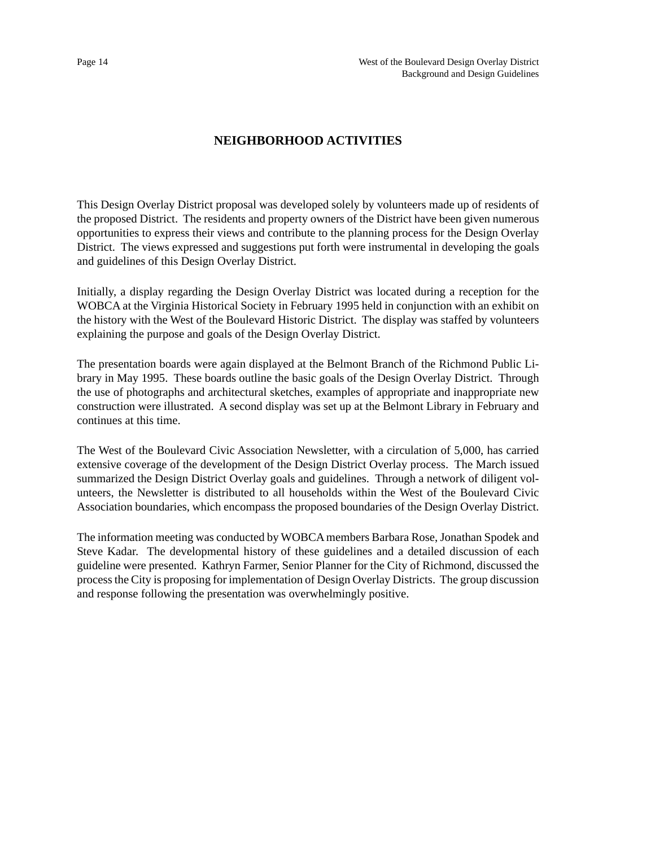#### **NEIGHBORHOOD ACTIVITIES**

This Design Overlay District proposal was developed solely by volunteers made up of residents of the proposed District. The residents and property owners of the District have been given numerous opportunities to express their views and contribute to the planning process for the Design Overlay District. The views expressed and suggestions put forth were instrumental in developing the goals and guidelines of this Design Overlay District.

Initially, a display regarding the Design Overlay District was located during a reception for the WOBCA at the Virginia Historical Society in February 1995 held in conjunction with an exhibit on the history with the West of the Boulevard Historic District. The display was staffed by volunteers explaining the purpose and goals of the Design Overlay District.

The presentation boards were again displayed at the Belmont Branch of the Richmond Public Library in May 1995. These boards outline the basic goals of the Design Overlay District. Through the use of photographs and architectural sketches, examples of appropriate and inappropriate new construction were illustrated. A second display was set up at the Belmont Library in February and continues at this time.

The West of the Boulevard Civic Association Newsletter, with a circulation of 5,000, has carried extensive coverage of the development of the Design District Overlay process. The March issued summarized the Design District Overlay goals and guidelines. Through a network of diligent volunteers, the Newsletter is distributed to all households within the West of the Boulevard Civic Association boundaries, which encompass the proposed boundaries of the Design Overlay District.

The information meeting was conducted by WOBCA members Barbara Rose, Jonathan Spodek and Steve Kadar. The developmental history of these guidelines and a detailed discussion of each guideline were presented. Kathryn Farmer, Senior Planner for the City of Richmond, discussed the process the City is proposing for implementation of Design Overlay Districts. The group discussion and response following the presentation was overwhelmingly positive.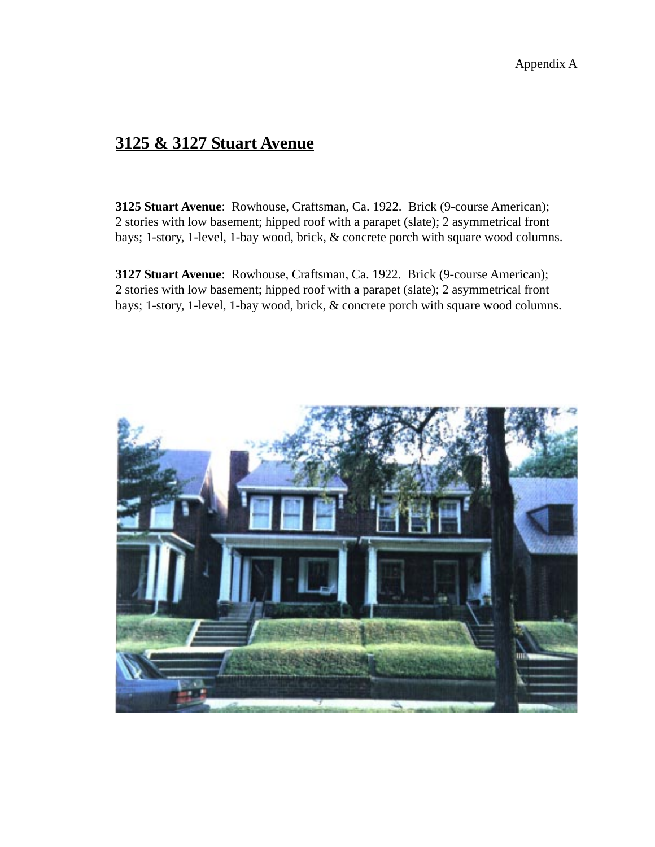### **3125 & 3127 Stuart Avenue**

**3125 Stuart Avenue**: Rowhouse, Craftsman, Ca. 1922. Brick (9-course American); 2 stories with low basement; hipped roof with a parapet (slate); 2 asymmetrical front bays; 1-story, 1-level, 1-bay wood, brick, & concrete porch with square wood columns.

**3127 Stuart Avenue**: Rowhouse, Craftsman, Ca. 1922. Brick (9-course American); 2 stories with low basement; hipped roof with a parapet (slate); 2 asymmetrical front bays; 1-story, 1-level, 1-bay wood, brick, & concrete porch with square wood columns.

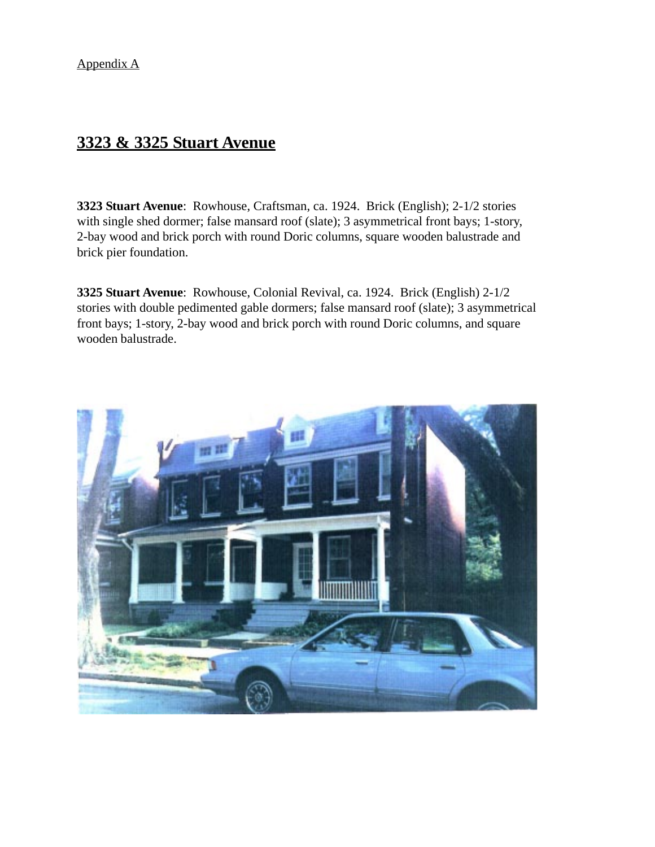### **3323 & 3325 Stuart Avenue**

**3323 Stuart Avenue**: Rowhouse, Craftsman, ca. 1924. Brick (English); 2-1/2 stories with single shed dormer; false mansard roof (slate); 3 asymmetrical front bays; 1-story, 2-bay wood and brick porch with round Doric columns, square wooden balustrade and brick pier foundation.

**3325 Stuart Avenue**: Rowhouse, Colonial Revival, ca. 1924. Brick (English) 2-1/2 stories with double pedimented gable dormers; false mansard roof (slate); 3 asymmetrical front bays; 1-story, 2-bay wood and brick porch with round Doric columns, and square wooden balustrade.

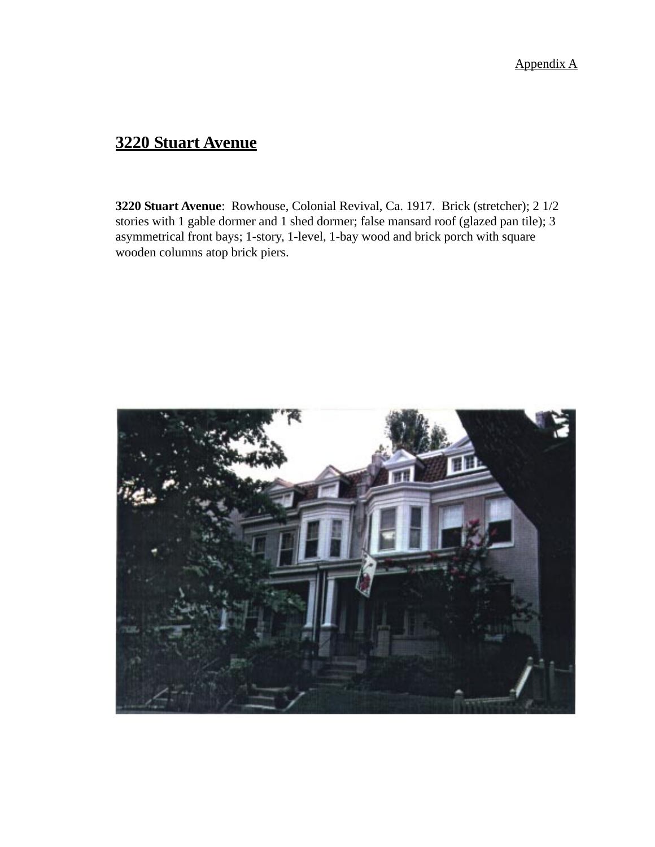### **3220 Stuart Avenue**

**3220 Stuart Avenue**: Rowhouse, Colonial Revival, Ca. 1917. Brick (stretcher); 2 1/2 stories with 1 gable dormer and 1 shed dormer; false mansard roof (glazed pan tile); 3 asymmetrical front bays; 1-story, 1-level, 1-bay wood and brick porch with square wooden columns atop brick piers.

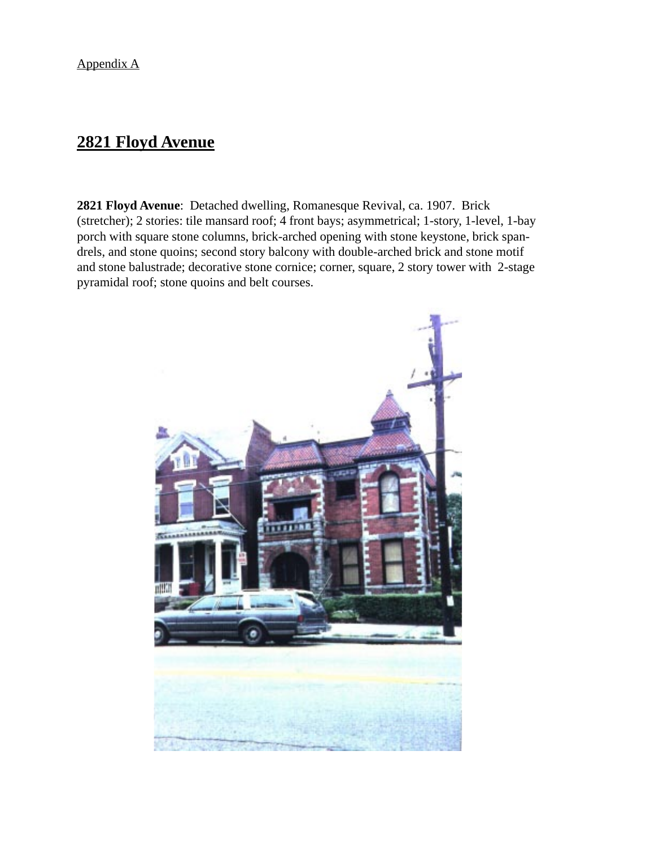### **2821 Floyd Avenue**

**2821 Floyd Avenue**: Detached dwelling, Romanesque Revival, ca. 1907. Brick (stretcher); 2 stories: tile mansard roof; 4 front bays; asymmetrical; 1-story, 1-level, 1-bay porch with square stone columns, brick-arched opening with stone keystone, brick spandrels, and stone quoins; second story balcony with double-arched brick and stone motif and stone balustrade; decorative stone cornice; corner, square, 2 story tower with 2-stage pyramidal roof; stone quoins and belt courses.

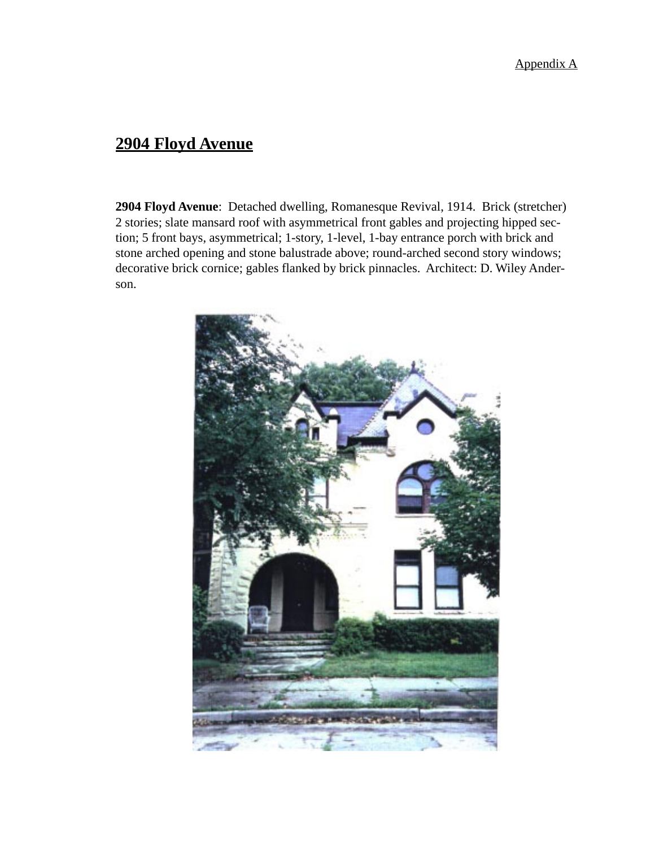### **2904 Floyd Avenue**

**2904 Floyd Avenue**: Detached dwelling, Romanesque Revival, 1914. Brick (stretcher) 2 stories; slate mansard roof with asymmetrical front gables and projecting hipped section; 5 front bays, asymmetrical; 1-story, 1-level, 1-bay entrance porch with brick and stone arched opening and stone balustrade above; round-arched second story windows; decorative brick cornice; gables flanked by brick pinnacles. Architect: D. Wiley Anderson.

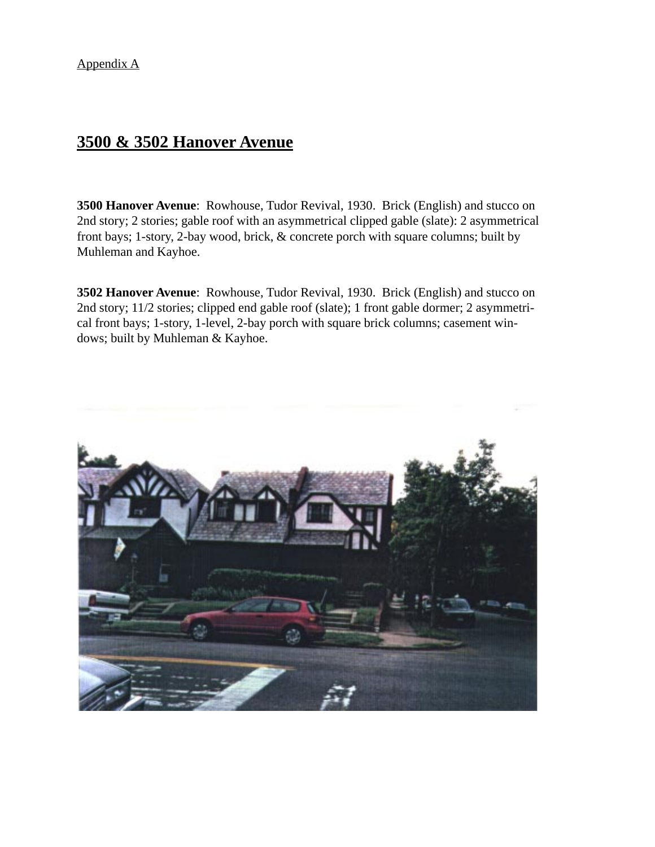### **3500 & 3502 Hanover Avenue**

**3500 Hanover Avenue**: Rowhouse, Tudor Revival, 1930. Brick (English) and stucco on 2nd story; 2 stories; gable roof with an asymmetrical clipped gable (slate): 2 asymmetrical front bays; 1-story, 2-bay wood, brick, & concrete porch with square columns; built by Muhleman and Kayhoe.

**3502 Hanover Avenue**: Rowhouse, Tudor Revival, 1930. Brick (English) and stucco on 2nd story; 11/2 stories; clipped end gable roof (slate); 1 front gable dormer; 2 asymmetrical front bays; 1-story, 1-level, 2-bay porch with square brick columns; casement windows; built by Muhleman & Kayhoe.

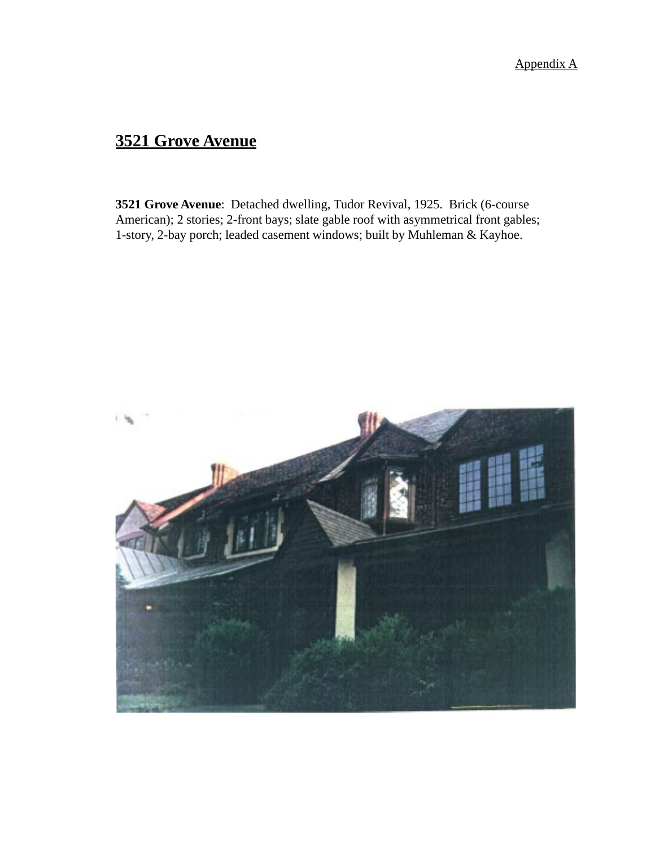# **3521 Grove Avenue**

**3521 Grove Avenue**: Detached dwelling, Tudor Revival, 1925. Brick (6-course American); 2 stories; 2-front bays; slate gable roof with asymmetrical front gables; 1-story, 2-bay porch; leaded casement windows; built by Muhleman & Kayhoe.

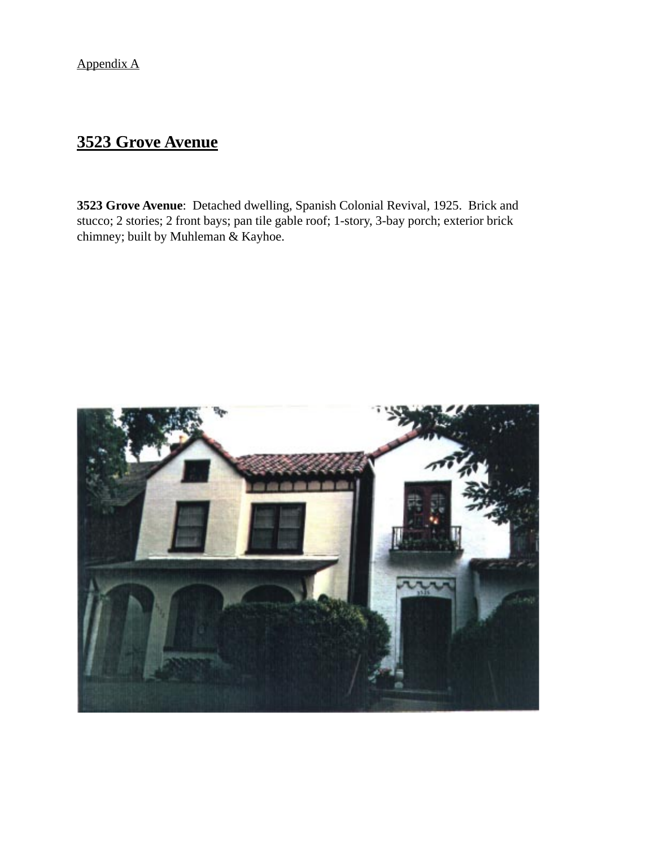# **3523 Grove Avenue**

**3523 Grove Avenue**: Detached dwelling, Spanish Colonial Revival, 1925. Brick and stucco; 2 stories; 2 front bays; pan tile gable roof; 1-story, 3-bay porch; exterior brick chimney; built by Muhleman & Kayhoe.

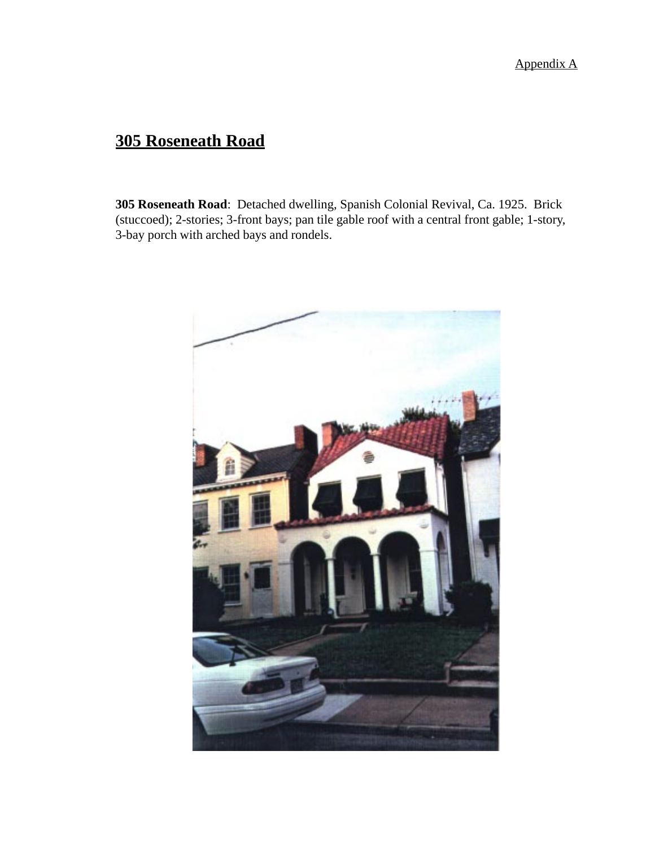# **305 Roseneath Road**

**305 Roseneath Road**: Detached dwelling, Spanish Colonial Revival, Ca. 1925. Brick (stuccoed); 2-stories; 3-front bays; pan tile gable roof with a central front gable; 1-story, 3-bay porch with arched bays and rondels.

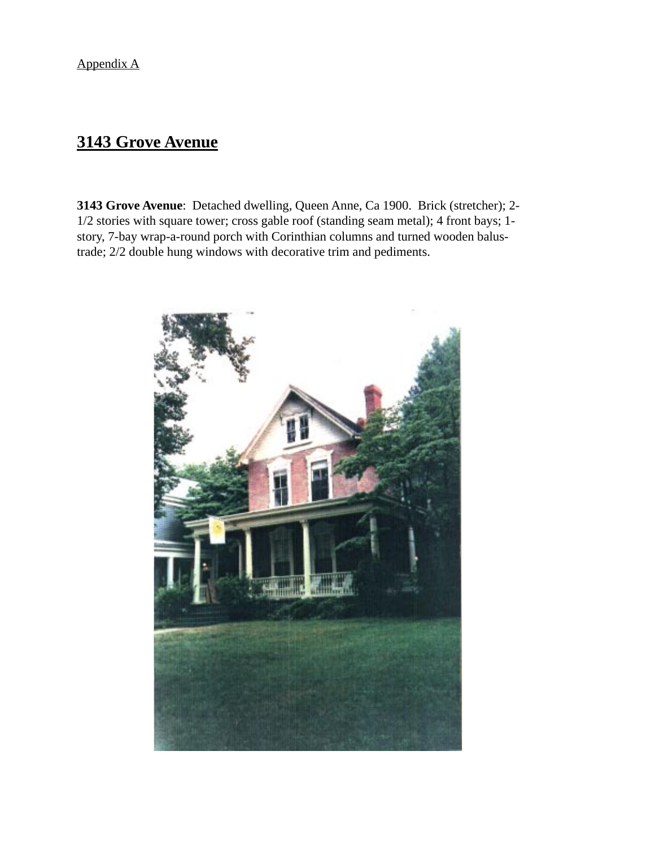### **3143 Grove Avenue**

**3143 Grove Avenue**: Detached dwelling, Queen Anne, Ca 1900. Brick (stretcher); 2- 1/2 stories with square tower; cross gable roof (standing seam metal); 4 front bays; 1 story, 7-bay wrap-a-round porch with Corinthian columns and turned wooden balustrade; 2/2 double hung windows with decorative trim and pediments.

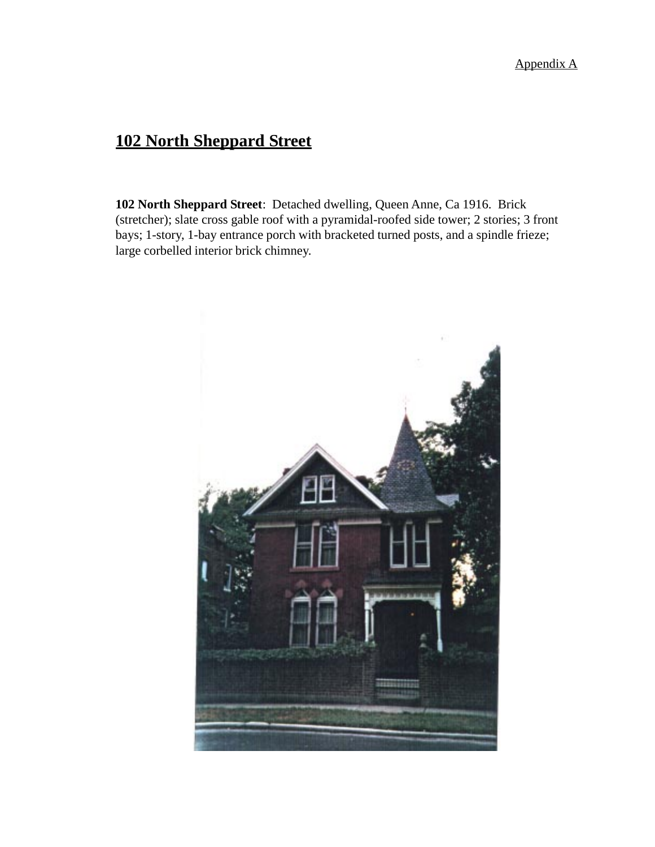# **102 North Sheppard Street**

**102 North Sheppard Street**: Detached dwelling, Queen Anne, Ca 1916. Brick (stretcher); slate cross gable roof with a pyramidal-roofed side tower; 2 stories; 3 front bays; 1-story, 1-bay entrance porch with bracketed turned posts, and a spindle frieze; large corbelled interior brick chimney.